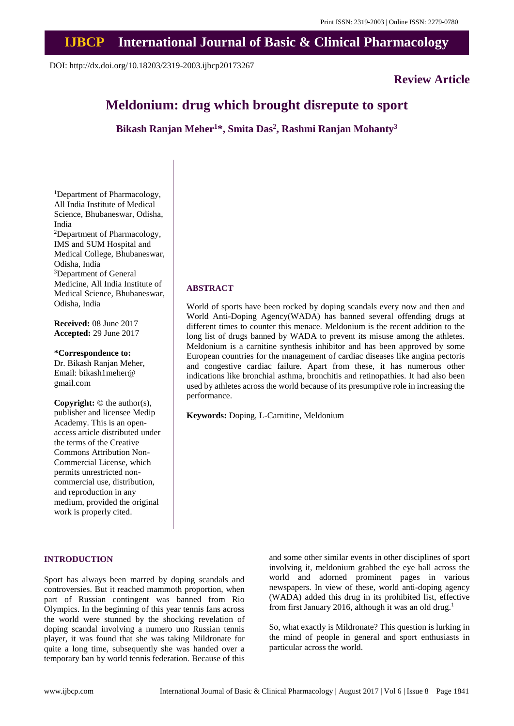# **IJBCP International Journal of Basic & Clinical Pharmacology**

DOI: http://dx.doi.org/10.18203/2319-2003.ijbcp20173267

## **Review Article**

# **Meldonium: drug which brought disrepute to sport**

**Bikash Ranjan Meher<sup>1</sup>\*, Smita Das<sup>2</sup> , Rashmi Ranjan Mohanty<sup>3</sup>**

**ABSTRACT**

performance.

**Keywords:** Doping, L-Carnitine, Meldonium

<sup>1</sup>Department of Pharmacology, All India Institute of Medical Science, Bhubaneswar, Odisha, India <sup>2</sup>Department of Pharmacology, IMS and SUM Hospital and Medical College, Bhubaneswar, Odisha, India <sup>3</sup>Department of General Medicine, All India Institute of Medical Science, Bhubaneswar, Odisha, India

**Received:** 08 June 2017 **Accepted:** 29 June 2017

**\*Correspondence to:** Dr. Bikash Ranjan Meher, Email: bikash1meher@ gmail.com

**Copyright:** © the author(s), publisher and licensee Medip Academy. This is an openaccess article distributed under the terms of the Creative Commons Attribution Non-Commercial License, which permits unrestricted noncommercial use, distribution, and reproduction in any medium, provided the original work is properly cited.

## **INTRODUCTION**

Sport has always been marred by doping scandals and controversies. But it reached mammoth proportion, when part of Russian contingent was banned from Rio Olympics. In the beginning of this year tennis fans across the world were stunned by the shocking revelation of doping scandal involving a numero uno Russian tennis player, it was found that she was taking Mildronate for quite a long time, subsequently she was handed over a temporary ban by world tennis federation. Because of this and some other similar events in other disciplines of sport involving it, meldonium grabbed the eye ball across the world and adorned prominent pages in various newspapers. In view of these, world anti-doping agency (WADA) added this drug in its prohibited list, effective from first January 2016, although it was an old drug.<sup>1</sup>

So, what exactly is Mildronate? This question is lurking in the mind of people in general and sport enthusiasts in particular across the world.

World of sports have been rocked by doping scandals every now and then and World Anti-Doping Agency(WADA) has banned several offending drugs at different times to counter this menace. Meldonium is the recent addition to the long list of drugs banned by WADA to prevent its misuse among the athletes. Meldonium is a carnitine synthesis inhibitor and has been approved by some European countries for the management of cardiac diseases like angina pectoris and congestive cardiac failure. Apart from these, it has numerous other indications like bronchial asthma, bronchitis and retinopathies. It had also been used by athletes across the world because of its presumptive role in increasing the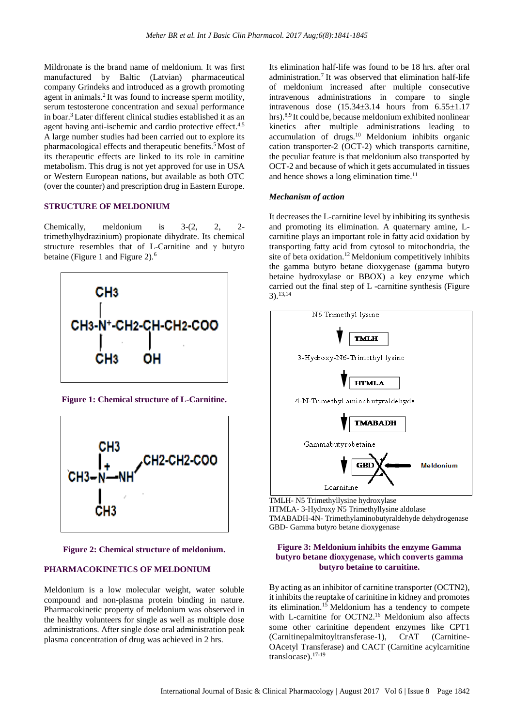Mildronate is the brand name of meldonium. It was first manufactured by Baltic (Latvian) pharmaceutical company Grindeks and introduced as a growth promoting agent in animals.<sup>2</sup> It was found to increase sperm motility, serum testosterone concentration and sexual performance in boar. <sup>3</sup> Later different clinical studies established it as an agent having anti-ischemic and cardio protective effect.<sup>4,5</sup> A large number studies had been carried out to explore its pharmacological effects and therapeutic benefits. <sup>5</sup> Most of its therapeutic effects are linked to its role in carnitine metabolism. This drug is not yet approved for use in USA or Western European nations, but available as both OTC (over the counter) and prescription drug in Eastern Europe.

## **STRUCTURE OF MELDONIUM**

Chemically, meldonium is 3-(2, 2, 2 trimethylhydrazinium) propionate dihydrate. Its chemical structure resembles that of L-Carnitine and γ butyro betaine (Figure 1 and Figure 2).<sup>6</sup>



**Figure 1: Chemical structure of L-Carnitine.**



**Figure 2: Chemical structure of meldonium.**

## **PHARMACOKINETICS OF MELDONIUM**

Meldonium is a low molecular weight, water soluble compound and non-plasma protein binding in nature. Pharmacokinetic property of meldonium was observed in the healthy volunteers for single as well as multiple dose administrations. After single dose oral administration peak plasma concentration of drug was achieved in 2 hrs.

Its elimination half-life was found to be 18 hrs. after oral administration.<sup>7</sup> It was observed that elimination half-life of meldonium increased after multiple consecutive intravenous administrations in compare to single intravenous dose  $(15.34 \pm 3.14$  hours from  $6.55 \pm 1.17$ hrs).<sup>8,9</sup> It could be, because meldonium exhibited nonlinear kinetics after multiple administrations leading to accumulation of drugs.<sup>10</sup> Meldonium inhibits organic cation transporter-2 (OCT-2) which transports carnitine, the peculiar feature is that meldonium also transported by OCT-2 and because of which it gets accumulated in tissues and hence shows a long elimination time. $11$ 

#### *Mechanism of action*

It decreases the L-carnitine level by inhibiting its synthesis and promoting its elimination. A quaternary amine, Lcarnitine plays an important role in fatty acid oxidation by transporting fatty acid from cytosol to mitochondria, the site of beta oxidation.<sup>12</sup> Meldonium competitively inhibits the gamma butyro betane dioxygenase (gamma butyro betaine hydroxylase or BBOX) a key enzyme which carried out the final step of L -carnitine synthesis (Figure 3).13,14



TMLH- N5 Trimethyllysine hydroxylase HTMLA- 3-Hydroxy N5 Trimethyllysine aldolase TMABADH-4N- Trimethylaminobutyraldehyde dehydrogenase GBD- Gamma butyro betane dioxygenase

## **Figure 3: Meldonium inhibits the enzyme Gamma butyro betane dioxygenase, which converts gamma butyro betaine to carnitine.**

By acting as an inhibitor of carnitine transporter (OCTN2), it inhibits the reuptake of carinitine in kidney and promotes its elimination.<sup>15</sup> Meldonium has a tendency to compete with L-carnitine for OCTN2.<sup>16</sup> Meldonium also affects some other carinitine dependent enzymes like CPT1 (Carnitinepalmitoyltransferase-1), CrAT (Carnitine-OAcetyl Transferase) and CACT (Carnitine acylcarnitine translocase).17-19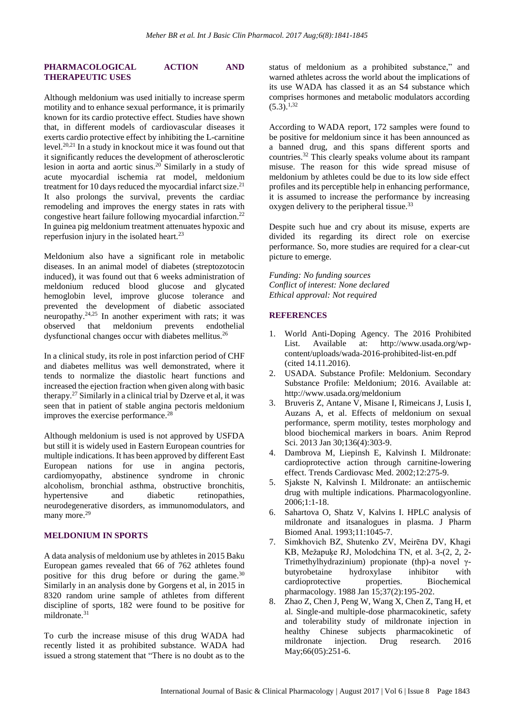## **PHARMACOLOGICAL ACTION AND THERAPEUTIC USES**

Although meldonium was used initially to increase sperm motility and to enhance sexual performance, it is primarily known for its cardio protective effect. Studies have shown that, in different models of cardiovascular diseases it exerts cardio protective effect by inhibiting the L-carnitine level.20,21 In a study in knockout mice it was found out that it significantly reduces the development of atherosclerotic lesion in aorta and aortic sinus.<sup>20</sup> Similarly in a study of acute myocardial ischemia rat model, meldonium treatment for 10 days reduced the myocardial infarct size.<sup>21</sup> It also prolongs the survival, prevents the cardiac remodeling and improves the energy states in rats with congestive heart failure following myocardial infarction.<sup>22</sup> In guinea pig meldonium treatment attenuates hypoxic and reperfusion injury in the isolated heart.<sup>23</sup>

Meldonium also have a significant role in metabolic diseases. In an animal model of diabetes (streptozotocin induced), it was found out that 6 weeks administration of meldonium reduced blood glucose and glycated hemoglobin level, improve glucose tolerance and prevented the development of diabetic associated neuropathy. $24,25$  In another experiment with rats; it was observed that meldonium prevents endothelial dysfunctional changes occur with diabetes mellitus.<sup>26</sup>

In a clinical study, its role in post infarction period of CHF and diabetes mellitus was well demonstrated, where it tends to normalize the diastolic heart functions and increased the ejection fraction when given along with basic therapy.<sup>27</sup> Similarly in a clinical trial by Dzerve et al, it was seen that in patient of stable angina pectoris meldonium improves the exercise performance.<sup>28</sup>

Although meldonium is used is not approved by USFDA but still it is widely used in Eastern European countries for multiple indications. It has been approved by different East European nations for use in angina pectoris, cardiomyopathy, abstinence syndrome in chronic alcoholism, bronchial asthma, obstructive bronchitis, hypertensive and diabetic retinopathies, neurodegenerative disorders, as immunomodulators, and many more.<sup>29</sup>

## **MELDONIUM IN SPORTS**

A data analysis of meldonium use by athletes in 2015 Baku European games revealed that 66 of 762 athletes found positive for this drug before or during the game.<sup>30</sup> Similarly in an analysis done by Gorgens et al, in 2015 in 8320 random urine sample of athletes from different discipline of sports, 182 were found to be positive for mildronate.<sup>31</sup>

To curb the increase misuse of this drug WADA had recently listed it as prohibited substance. WADA had issued a strong statement that "There is no doubt as to the status of meldonium as a prohibited substance," and warned athletes across the world about the implications of its use WADA has classed it as an S4 substance which comprises hormones and metabolic modulators according  $(5.3)$ <sup>1,32</sup>

According to WADA report, 172 samples were found to be positive for meldonium since it has been announced as a banned drug, and this spans different sports and countries. <sup>32</sup> This clearly speaks volume about its rampant misuse. The reason for this wide spread misuse of meldonium by athletes could be due to its low side effect profiles and its perceptible help in enhancing performance, it is assumed to increase the performance by increasing oxygen delivery to the peripheral tissue.<sup>33</sup>

Despite such hue and cry about its misuse, experts are divided its regarding its direct role on exercise performance. So, more studies are required for a clear-cut picture to emerge.

*Funding: No funding sources Conflict of interest: None declared Ethical approval: Not required*

## **REFERENCES**

- 1. World Anti-Doping Agency. The 2016 Prohibited List. Available at: http://www.usada.org/wpcontent/uploads/wada-2016-prohibited-list-en.pdf (cited 14.11.2016).
- 2. USADA. Substance Profile: Meldonium. Secondary Substance Profile: Meldonium; 2016. Available at: http://www.usada.org/meldonium
- 3. Bruveris Z, Antane V, Misane I, Rimeicans J, Lusis I, Auzans A, et al. Effects of meldonium on sexual performance, sperm motility, testes morphology and blood biochemical markers in boars. Anim Reprod Sci. 2013 Jan 30;136(4):303-9.
- 4. Dambrova M, Liepinsh E, Kalvinsh I. Mildronate: cardioprotective action through carnitine-lowering effect. Trends Cardiovasc Med. 2002;12:275-9.
- 5. Sjakste N, Kalvinsh I. Mildronate: an antiischemic drug with multiple indications. Pharmacologyonline. 2006;1:1-18.
- 6. Sahartova O, Shatz V, Kalvins I. HPLC analysis of mildronate and itsanalogues in plasma. J Pharm Biomed Anal. 1993;11:1045-7.
- 7. Simkhovich BZ, Shutenko ZV, Meirēna DV, Khagi KB, Mežapuķe RJ, Molodchina TN, et al. 3-(2, 2, 2- Trimethylhydrazinium) propionate (thp)-a novel γbutyrobetaine hydroxylase inhibitor with cardioprotective properties. Biochemical pharmacology. 1988 Jan 15;37(2):195-202.
- 8. Zhao Z, Chen J, Peng W, Wang X, Chen Z, Tang H, et al. Single-and multiple-dose pharmacokinetic, safety and tolerability study of mildronate injection in healthy Chinese subjects pharmacokinetic of mildronate injection. Drug research. 2016 May;66(05):251-6.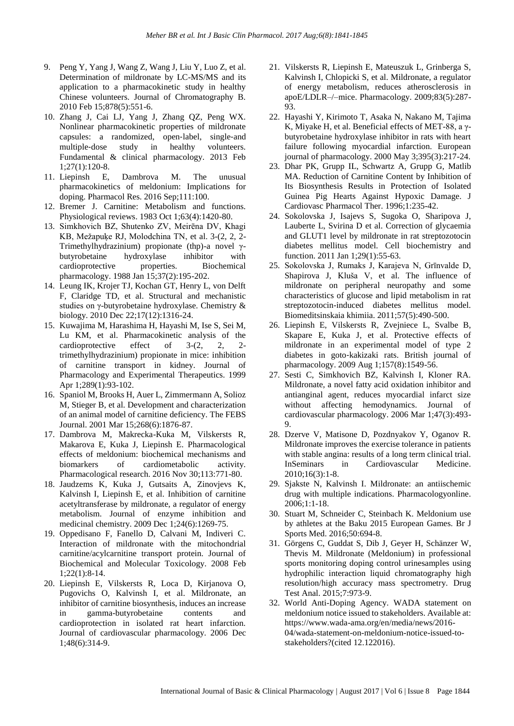- 9. Peng Y, Yang J, Wang Z, Wang J, Liu Y, Luo Z, et al. Determination of mildronate by LC-MS/MS and its application to a pharmacokinetic study in healthy Chinese volunteers. Journal of Chromatography B. 2010 Feb 15;878(5):551-6.
- 10. Zhang J, Cai LJ, Yang J, Zhang QZ, Peng WX. Nonlinear pharmacokinetic properties of mildronate capsules: a randomized, open‐label, single‐and multiple‐dose study in healthy volunteers. Fundamental & clinical pharmacology. 2013 Feb 1;27(1):120-8.
- 11. Liepinsh E, Dambrova M. The unusual pharmacokinetics of meldonium: Implications for doping. Pharmacol Res. 2016 Sep;111:100.
- 12. Bremer J. Carnitine: Metabolism and functions. Physiological reviews. 1983 Oct 1;63(4):1420-80.
- 13. Simkhovich BZ, Shutenko ZV, Meirēna DV, Khagi KB, Mežapuķe RJ, Molodchina TN, et al. 3-(2, 2, 2- Trimethylhydrazinium) propionate (thp)-a novel γbutyrobetaine hydroxylase inhibitor with cardioprotective properties. Biochemical pharmacology. 1988 Jan 15;37(2):195-202.
- 14. Leung IK, Krojer TJ, Kochan GT, Henry L, von Delft F, Claridge TD, et al. Structural and mechanistic studies on γ-butyrobetaine hydroxylase. Chemistry & biology. 2010 Dec 22;17(12):1316-24.
- 15. Kuwajima M, Harashima H, Hayashi M, Ise S, Sei M, Lu KM, et al. Pharmacokinetic analysis of the cardioprotective effect of 3-(2, 2, 2 trimethylhydrazinium) propionate in mice: inhibition of carnitine transport in kidney. Journal of Pharmacology and Experimental Therapeutics. 1999 Apr 1;289(1):93-102.
- 16. Spaniol M, Brooks H, Auer L, Zimmermann A, Solioz M, Stieger B, et al. Development and characterization of an animal model of carnitine deficiency. The FEBS Journal. 2001 Mar 15;268(6):1876-87.
- 17. Dambrova M, Makrecka-Kuka M, Vilskersts R, Makarova E, Kuka J, Liepinsh E. Pharmacological effects of meldonium: biochemical mechanisms and biomarkers of cardiometabolic activity. Pharmacological research. 2016 Nov 30;113:771-80.
- 18. Jaudzems K, Kuka J, Gutsaits A, Zinovjevs K, Kalvinsh I, Liepinsh E, et al. Inhibition of carnitine acetyltransferase by mildronate, a regulator of energy metabolism. Journal of enzyme inhibition and medicinal chemistry. 2009 Dec 1;24(6):1269-75.
- 19. Oppedisano F, Fanello D, Calvani M, Indiveri C. Interaction of mildronate with the mitochondrial carnitine/acylcarnitine transport protein. Journal of Biochemical and Molecular Toxicology. 2008 Feb 1;22(1):8-14.
- 20. Liepinsh E, Vilskersts R, Loca D, Kirjanova O, Pugovichs O, Kalvinsh I, et al. Mildronate, an inhibitor of carnitine biosynthesis, induces an increase in gamma-butyrobetaine contents and cardioprotection in isolated rat heart infarction. Journal of cardiovascular pharmacology. 2006 Dec 1;48(6):314-9.
- 21. Vilskersts R, Liepinsh E, Mateuszuk L, Grinberga S, Kalvinsh I, Chlopicki S, et al. Mildronate, a regulator of energy metabolism, reduces atherosclerosis in apoE/LDLR–/–mice. Pharmacology. 2009;83(5):287- 93.
- 22. Hayashi Y, Kirimoto T, Asaka N, Nakano M, Tajima K, Miyake H, et al. Beneficial effects of MET-88, a γbutyrobetaine hydroxylase inhibitor in rats with heart failure following myocardial infarction. European journal of pharmacology. 2000 May 3;395(3):217-24.
- 23. Dhar PK, Grupp IL, Schwartz A, Grupp G, Matlib MA. Reduction of Carnitine Content by Inhibition of Its Biosynthesis Results in Protection of Isolated Guinea Pig Hearts Against Hypoxic Damage. J Cardiovasc Pharmacol Ther. 1996;1:235-42.
- 24. Sokolovska J, Isajevs S, Sugoka O, Sharipova J, Lauberte L, Svirina D et al. Correction of glycaemia and GLUT1 level by mildronate in rat streptozotocin diabetes mellitus model. Cell biochemistry and function. 2011 Jan 1;29(1):55-63.
- 25. Sokolovska J, Rumaks J, Karajeva N, Grīnvalde D, Shapirova J, Kluša V, et al. The influence of mildronate on peripheral neuropathy and some characteristics of glucose and lipid metabolism in rat streptozotocin-induced diabetes mellitus model. Biomeditsinskaia khimiia. 2011;57(5):490-500.
- 26. Liepinsh E, Vilskersts R, Zvejniece L, Svalbe B, Skapare E, Kuka J, et al. Protective effects of mildronate in an experimental model of type 2 diabetes in goto‐kakizaki rats. British journal of pharmacology. 2009 Aug 1;157(8):1549-56.
- 27. Sesti C, Simkhovich BZ, Kalvinsh I, Kloner RA. Mildronate, a novel fatty acid oxidation inhibitor and antianginal agent, reduces myocardial infarct size without affecting hemodynamics. Journal of cardiovascular pharmacology. 2006 Mar 1;47(3):493- 9.
- 28. Dzerve V, Matisone D, Pozdnyakov Y, Oganov R. Mildronate improves the exercise tolerance in patients with stable angina: results of a long term clinical trial. InSeminars in Cardiovascular Medicine. 2010;16(3):1-8.
- 29. Sjakste N, Kalvinsh I. Mildronate: an antiischemic drug with multiple indications. Pharmacologyonline. 2006;1:1-18.
- 30. Stuart M, Schneider C, Steinbach K. Meldonium use by athletes at the Baku 2015 European Games. Br J Sports Med. 2016;50:694-8.
- 31. Görgens C, Guddat S, Dib J, Geyer H, Schänzer W, Thevis M. Mildronate (Meldonium) in professional sports monitoring doping control urinesamples using hydrophilic interaction liquid chromatography high resolution/high accuracy mass spectrometry. Drug Test Anal. 2015;7:973-9.
- 32. World Anti-Doping Agency. WADA statement on meldonium notice issued to stakeholders. Available at: https://www.wada-ama.org/en/media/news/2016- 04/wada-statement-on-meldonium-notice-issued-tostakeholders?(cited 12.122016).